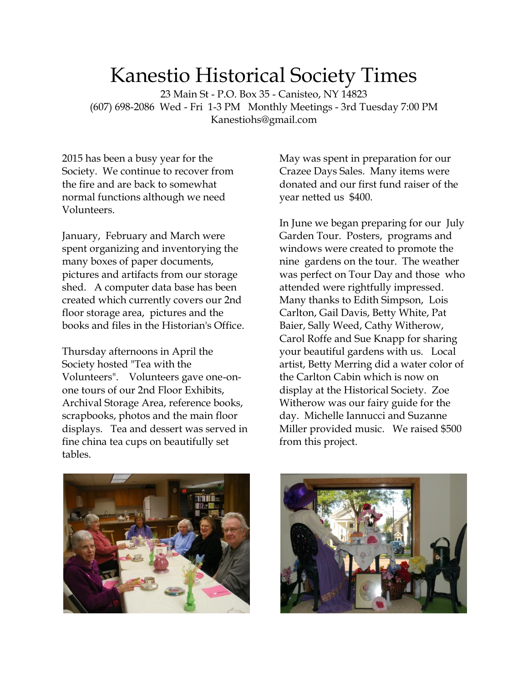# Kanestio Historical Society Times

23 Main St - P.O. Box 35 - Canisteo, NY 14823 (607) 698-2086 Wed - Fri 1-3 PM Monthly Meetings - 3rd Tuesday 7:00 PM Kanestiohs@gmail.com

2015 has been a busy year for the Society. We continue to recover from the fire and are back to somewhat normal functions although we need Volunteers.

January, February and March were spent organizing and inventorying the many boxes of paper documents, pictures and artifacts from our storage shed. A computer data base has been created which currently covers our 2nd floor storage area, pictures and the books and files in the Historian's Office.

Thursday afternoons in April the Society hosted "Tea with the Volunteers". Volunteers gave one-onone tours of our 2nd Floor Exhibits, Archival Storage Area, reference books, scrapbooks, photos and the main floor displays. Tea and dessert was served in fine china tea cups on beautifully set tables.

May was spent in preparation for our Crazee Days Sales. Many items were donated and our first fund raiser of the year netted us \$400.

In June we began preparing for our July Garden Tour. Posters, programs and windows were created to promote the nine gardens on the tour. The weather was perfect on Tour Day and those who attended were rightfully impressed. Many thanks to Edith Simpson, Lois Carlton, Gail Davis, Betty White, Pat Baier, Sally Weed, Cathy Witherow, Carol Roffe and Sue Knapp for sharing your beautiful gardens with us. Local artist, Betty Merring did a water color of the Carlton Cabin which is now on display at the Historical Society. Zoe Witherow was our fairy guide for the day. Michelle Iannucci and Suzanne Miller provided music. We raised \$500 from this project.



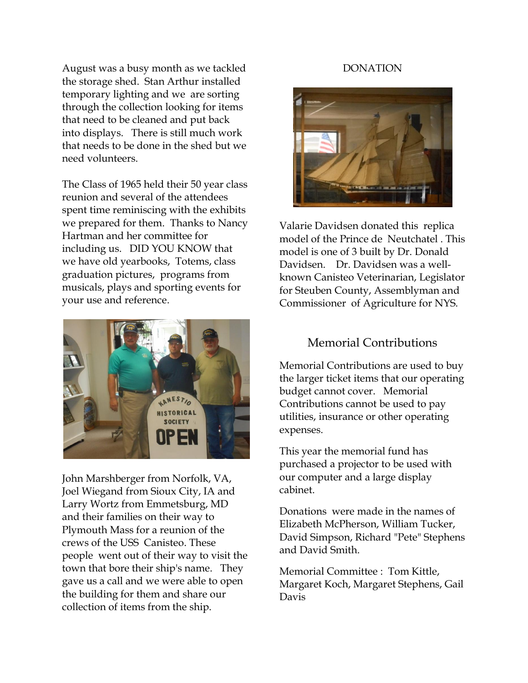August was a busy month as we tackled the storage shed. Stan Arthur installed temporary lighting and we are sorting through the collection looking for items that need to be cleaned and put back into displays. There is still much work that needs to be done in the shed but we need volunteers.

The Class of 1965 held their 50 year class reunion and several of the attendees spent time reminiscing with the exhibits we prepared for them. Thanks to Nancy Hartman and her committee for including us. DID YOU KNOW that we have old yearbooks, Totems, class graduation pictures, programs from musicals, plays and sporting events for your use and reference.



John Marshberger from Norfolk, VA, Joel Wiegand from Sioux City, IA and Larry Wortz from Emmetsburg, MD and their families on their way to Plymouth Mass for a reunion of the crews of the USS Canisteo. These people went out of their way to visit the town that bore their ship's name. They gave us a call and we were able to open the building for them and share our collection of items from the ship.

#### DONATION



Valarie Davidsen donated this replica model of the Prince de Neutchatel . This model is one of 3 built by Dr. Donald Davidsen. Dr. Davidsen was a wellknown Canisteo Veterinarian, Legislator for Steuben County, Assemblyman and Commissioner of Agriculture for NYS.

### Memorial Contributions

Memorial Contributions are used to buy the larger ticket items that our operating budget cannot cover. Memorial Contributions cannot be used to pay utilities, insurance or other operating expenses.

This year the memorial fund has purchased a projector to be used with our computer and a large display cabinet.

Donations were made in the names of Elizabeth McPherson, William Tucker, David Simpson, Richard "Pete" Stephens and David Smith.

Memorial Committee : Tom Kittle, Margaret Koch, Margaret Stephens, Gail Davis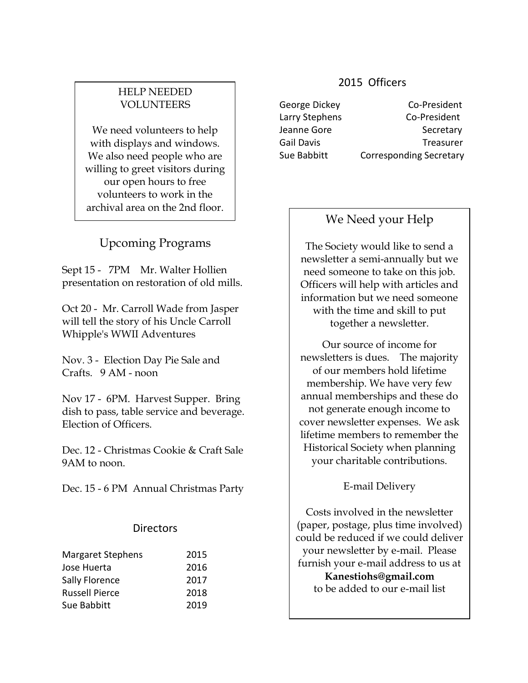### HELP NEEDED VOLUNTEERS

willing to greet visitors during archival area on the 2nd floor. We need volunteers to help with displays and windows. We also need people who are our open hours to free volunteers to work in the

### Upcoming Programs

Sept 15 - 7PM Mr. Walter Hollien presentation on restoration of old mills.

Oct 20 - Mr. Carroll Wade from Jasper will tell the story of his Uncle Carroll Whipple's WWII Adventures

Nov. 3 - Election Day Pie Sale and Crafts. 9 AM - noon

Nov 17 - 6PM. Harvest Supper. Bring dish to pass, table service and beverage. Election of Officers.

Dec. 12 - Christmas Cookie & Craft Sale 9AM to noon.

Dec. 15 - 6 PM Annual Christmas Party

### **Directors**

| <b>Margaret Stephens</b> | 2015 |
|--------------------------|------|
| Jose Huerta              | 2016 |
| Sally Florence           | 2017 |
| <b>Russell Pierce</b>    | 2018 |
| Sue Babbitt              | 2019 |
|                          |      |

### 2015 Officers

George Dickey Co-President Larry Stephens Co-President Jeanne Gore **Secretary** Gail Davis **Treasurer** Sue Babbitt Corresponding Secretary

### We Need your Help

The Society would like to send a newsletter a semi-annually but we need someone to take on this job. Officers will help with articles and information but we need someone with the time and skill to put together a newsletter.

Our source of income for newsletters is dues. The majority of our members hold lifetime membership. We have very few annual memberships and these do not generate enough income to cover newsletter expenses. We ask lifetime members to remember the Historical Society when planning your charitable contributions.

E-mail Delivery

Costs involved in the newsletter (paper, postage, plus time involved) could be reduced if we could deliver your newsletter by e-mail. Please furnish your e-mail address to us at

**Kanestiohs@gmail.com** to be added to our e-mail list